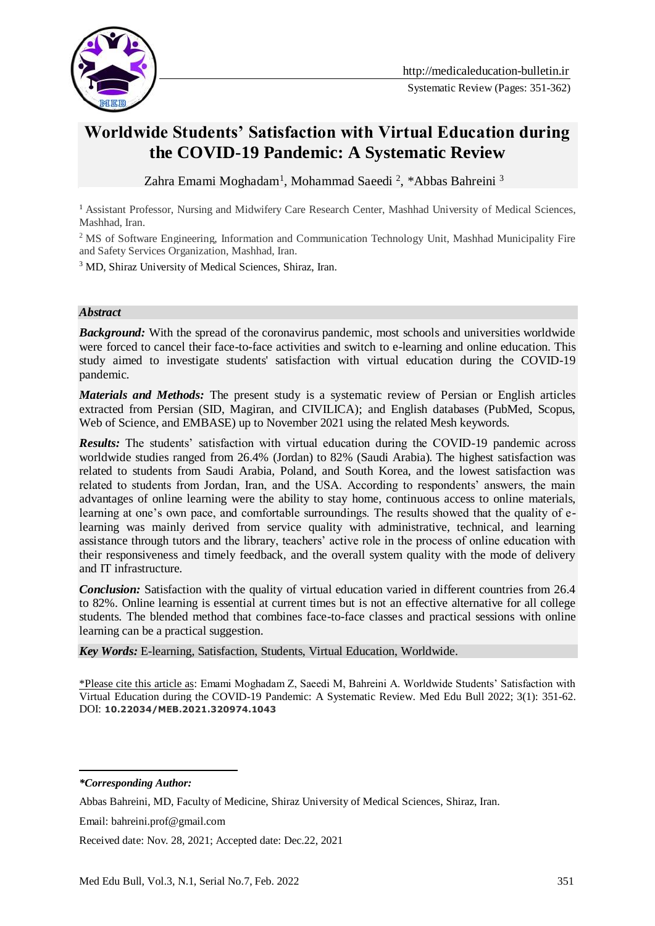

Systematic Review (Pages: 351-362)

# **Worldwide Students' Satisfaction with Virtual Education during the COVID-19 Pandemic: A Systematic Review**

Zahra Emami Moghadam<sup>1</sup>, Mohammad Saeedi <sup>2</sup>, \*Abbas Bahreini <sup>3</sup>

<sup>1</sup> Assistant Professor, Nursing and Midwifery Care Research Center, Mashhad University of Medical Sciences, Mashhad, Iran.

<sup>2</sup> MS of Software Engineering, Information and Communication Technology Unit, Mashhad Municipality Fire and Safety Services Organization, Mashhad, Iran.

<sup>3</sup> MD, Shiraz University of Medical Sciences, Shiraz, Iran.

#### *Abstract*

**Background:** With the spread of the coronavirus pandemic, most schools and universities worldwide were forced to cancel their face-to-face activities and switch to e-learning and online education. This study aimed to investigate students' satisfaction with virtual education during the COVID-19 pandemic.

*Materials and Methods:* The present study is a systematic review of Persian or English articles extracted from Persian (SID, Magiran, and CIVILICA); and English databases (PubMed, Scopus, Web of Science, and EMBASE) up to November 2021 using the related Mesh keywords.

*Results:* The students' satisfaction with virtual education during the COVID-19 pandemic across worldwide studies ranged from 26.4% (Jordan) to 82% (Saudi Arabia). The highest satisfaction was related to students from Saudi Arabia, Poland, and South Korea, and the lowest satisfaction was related to students from Jordan, Iran, and the USA. According to respondents' answers, the main advantages of online learning were the ability to stay home, continuous access to online materials, learning at one's own pace, and comfortable surroundings. The results showed that the quality of elearning was mainly derived from service quality with administrative, technical, and learning assistance through tutors and the library, teachers' active role in the process of online education with their responsiveness and timely feedback, and the overall system quality with the mode of delivery and IT infrastructure.

*Conclusion:* Satisfaction with the quality of virtual education varied in different countries from 26.4 to 82%. Online learning is essential at current times but is not an effective alternative for all college students. The blended method that combines face-to-face classes and practical sessions with online learning can be a practical suggestion.

*Key Words:* E-learning, Satisfaction, Students, Virtual Education, Worldwide.

\*Please cite this article as: Emami Moghadam Z, Saeedi M, Bahreini A. Worldwide Students' Satisfaction with Virtual Education during the COVID-19 Pandemic: A Systematic Review. Med Edu Bull 2022; 3(1): 351-62. DOI: **10.22034/MEB.2021.320974.1043**

*\*Corresponding Author:*

-

Received date: Nov. 28, 2021; Accepted date: Dec.22, 2021

Abbas Bahreini, MD, Faculty of Medicine, Shiraz University of Medical Sciences, Shiraz, Iran.

Email: bahreini.prof@gmail.com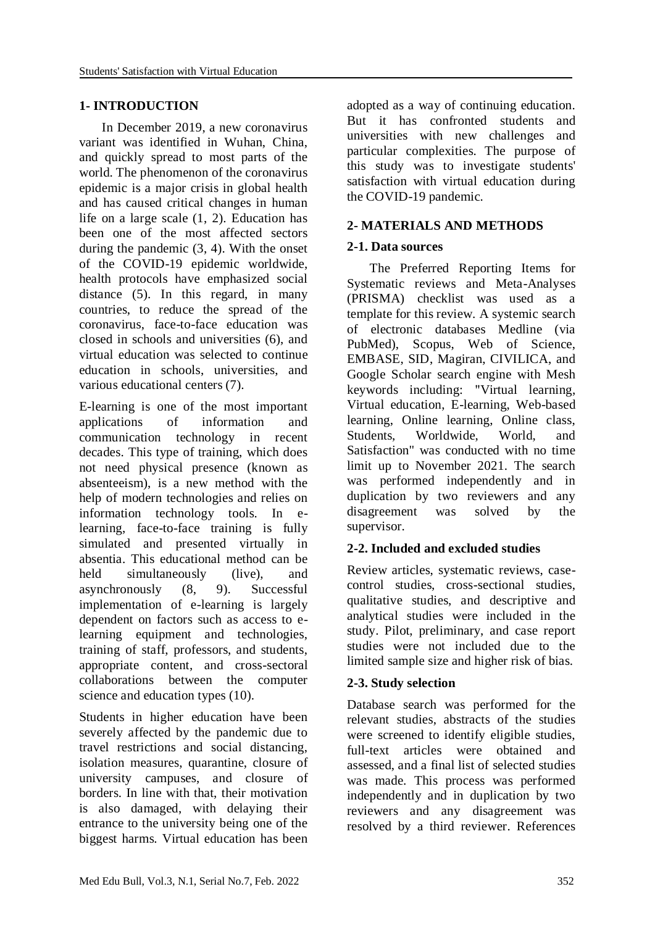#### **1- INTRODUCTION**

 In December 2019, a new coronavirus variant was identified in Wuhan, China, and quickly spread to most parts of the world. The phenomenon of the coronavirus epidemic is a major crisis in global health and has caused critical changes in human life on a large scale (1, 2). Education has been one of the most affected sectors during the pandemic (3, 4). With the onset of the COVID-19 epidemic worldwide, health protocols have emphasized social distance (5). In this regard, in many countries, to reduce the spread of the coronavirus, face-to-face education was closed in schools and universities (6), and virtual education was selected to continue education in schools, universities, and various educational centers (7).

E-learning is one of the most important applications of information and communication technology in recent decades. This type of training, which does not need physical presence (known as absenteeism), is a new method with the help of modern technologies and relies on information technology tools. In elearning, face-to-face training is fully simulated and presented virtually in absentia. This educational method can be held simultaneously (live), and asynchronously (8, 9). Successful implementation of e-learning is largely dependent on factors such as access to elearning equipment and technologies, training of staff, professors, and students, appropriate content, and cross-sectoral collaborations between the computer science and education types (10).

Students in higher education have been severely affected by the pandemic due to travel restrictions and social distancing, isolation measures, quarantine, closure of university campuses, and closure of borders. In line with that, their motivation is also damaged, with delaying their entrance to the university being one of the biggest harms. Virtual education has been adopted as a way of continuing education. But it has confronted students and universities with new challenges and particular complexities. The purpose of this study was to investigate students' satisfaction with virtual education during the COVID-19 pandemic.

#### **2- MATERIALS AND METHODS**

#### **2-1. Data sources**

 The Preferred Reporting Items for Systematic reviews and Meta-Analyses (PRISMA) checklist was used as a template for this review. A systemic search of electronic databases Medline (via PubMed), Scopus, Web of Science, EMBASE, SID, Magiran, CIVILICA, and Google Scholar search engine with Mesh keywords including: "Virtual learning, Virtual education, E-learning, Web-based learning, Online learning, Online class, Students, Worldwide, World, and Satisfaction" was conducted with no time limit up to November 2021. The search was performed independently and in duplication by two reviewers and any disagreement was solved by the supervisor.

## **2-2. Included and excluded studies**

Review articles, systematic reviews, casecontrol studies, cross-sectional studies, qualitative studies, and descriptive and analytical studies were included in the study. Pilot, preliminary, and case report studies were not included due to the limited sample size and higher risk of bias.

#### **2-3. Study selection**

Database search was performed for the relevant studies, abstracts of the studies were screened to identify eligible studies, full-text articles were obtained and assessed, and a final list of selected studies was made. This process was performed independently and in duplication by two reviewers and any disagreement was resolved by a third reviewer. References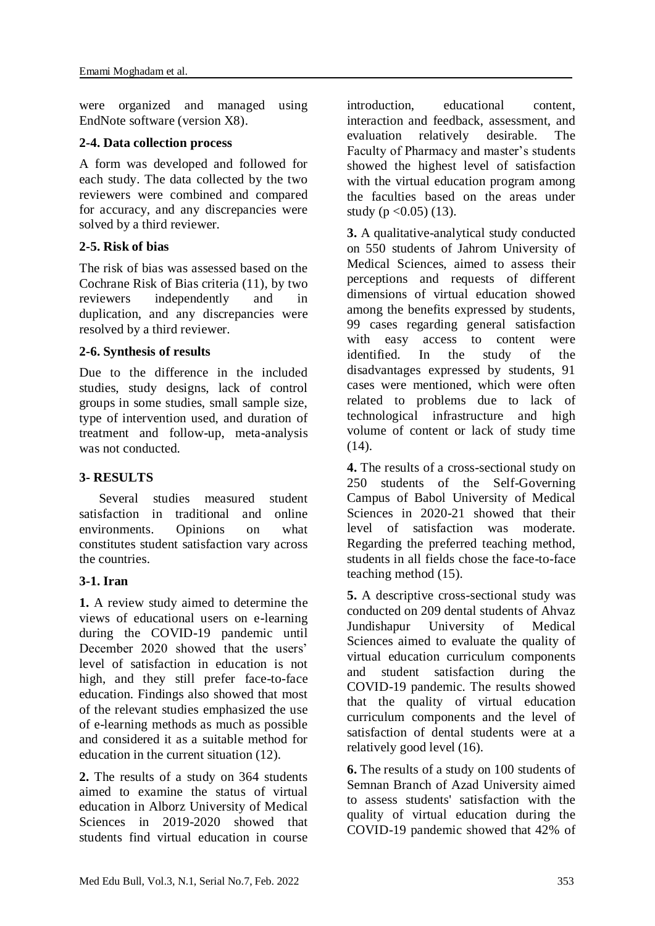were organized and managed using EndNote software (version X8).

## **2-4. Data collection process**

A form was developed and followed for each study. The data collected by the two reviewers were combined and compared for accuracy, and any discrepancies were solved by a third reviewer.

## **2-5. Risk of bias**

The risk of bias was assessed based on the Cochrane Risk of Bias criteria (11), by two reviewers independently and in duplication, and any discrepancies were resolved by a third reviewer.

## **2-6. Synthesis of results**

Due to the difference in the included studies, study designs, lack of control groups in some studies, small sample size, type of intervention used, and duration of treatment and follow-up, meta-analysis was not conducted.

## **3- RESULTS**

 Several studies measured student satisfaction in traditional and online environments. Opinions on what constitutes student satisfaction vary across the countries.

## **3-1. Iran**

**1.** A review study aimed to determine the views of educational users on e-learning during the COVID-19 pandemic until December 2020 showed that the users' level of satisfaction in education is not high, and they still prefer face-to-face education. Findings also showed that most of the relevant studies emphasized the use of e-learning methods as much as possible and considered it as a suitable method for education in the current situation (12).

**2.** The results of a study on 364 students aimed to examine the status of virtual education in Alborz University of Medical Sciences in 2019-2020 showed that students find virtual education in course

introduction, educational content, interaction and feedback, assessment, and evaluation relatively desirable. The Faculty of Pharmacy and master's students showed the highest level of satisfaction with the virtual education program among the faculties based on the areas under study ( $p < 0.05$ ) (13).

**3.** A qualitative-analytical study conducted on 550 students of Jahrom University of Medical Sciences, aimed to assess their perceptions and requests of different dimensions of virtual education showed among the benefits expressed by students, 99 cases regarding general satisfaction with easy access to content were identified. In the study of the disadvantages expressed by students, 91 cases were mentioned, which were often related to problems due to lack of technological infrastructure and high volume of content or lack of study time  $(14)$ .

**4.** The results of a cross-sectional study on 250 students of the Self-Governing Campus of Babol University of Medical Sciences in 2020-21 showed that their level of satisfaction was moderate. Regarding the preferred teaching method, students in all fields chose the face-to-face teaching method (15).

**5.** A descriptive cross-sectional study was conducted on 209 dental students of Ahvaz Jundishapur University of Medical Sciences aimed to evaluate the quality of virtual education curriculum components and student satisfaction during the COVID-19 pandemic. The results showed that the quality of virtual education curriculum components and the level of satisfaction of dental students were at a relatively good level (16).

**6.** The results of a study on 100 students of Semnan Branch of Azad University aimed to assess students' satisfaction with the quality of virtual education during the COVID-19 pandemic showed that 42% of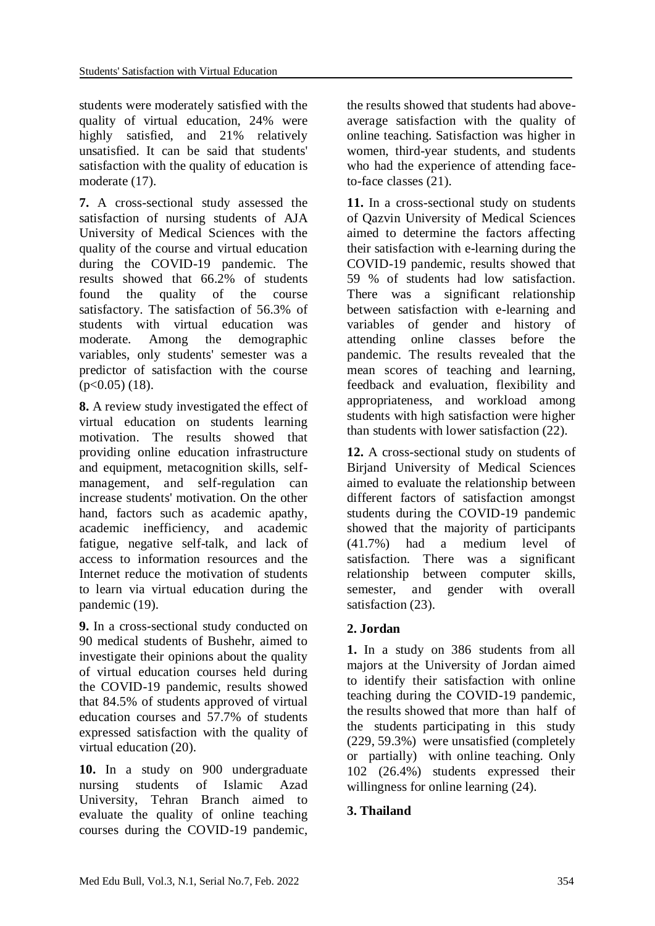students were moderately satisfied with the quality of virtual education, 24% were highly satisfied, and 21% relatively unsatisfied. It can be said that students' satisfaction with the quality of education is moderate (17).

**7.** A cross-sectional study assessed the satisfaction of nursing students of AJA University of Medical Sciences with the quality of the course and virtual education during the COVID-19 pandemic. The results showed that 66.2% of students found the quality of the course satisfactory. The satisfaction of 56.3% of students with virtual education was moderate. Among the demographic variables, only students' semester was a predictor of satisfaction with the course  $(p<0.05)$  (18).

**8.** A review study investigated the effect of virtual education on students learning motivation. The results showed that providing online education infrastructure and equipment, metacognition skills, selfmanagement, and self-regulation can increase students' motivation. On the other hand, factors such as academic apathy, academic inefficiency, and academic fatigue, negative self-talk, and lack of access to information resources and the Internet reduce the motivation of students to learn via virtual education during the pandemic (19).

**9.** In a cross-sectional study conducted on 90 medical students of Bushehr, aimed to investigate their opinions about the quality of virtual education courses held during the COVID-19 pandemic, results showed that 84.5% of students approved of virtual education courses and 57.7% of students expressed satisfaction with the quality of virtual education (20).

**10.** In a study on 900 undergraduate nursing students of Islamic Azad University, Tehran Branch aimed to evaluate the quality of online teaching courses during the COVID-19 pandemic,

the results showed that students had aboveaverage satisfaction with the quality of online teaching. Satisfaction was higher in women, third-year students, and students who had the experience of attending faceto-face classes (21).

**11.** In a cross-sectional study on students of Qazvin University of Medical Sciences aimed to determine the factors affecting their satisfaction with e-learning during the COVID-19 pandemic, results showed that 59 % of students had low satisfaction. There was a significant relationship between satisfaction with e-learning and variables of gender and history of attending online classes before the pandemic. The results revealed that the mean scores of teaching and learning, feedback and evaluation, flexibility and appropriateness, and workload among students with high satisfaction were higher than students with lower satisfaction (22).

**12.** A cross-sectional study on students of Birjand University of Medical Sciences aimed to evaluate the relationship between different factors of satisfaction amongst students during the COVID-19 pandemic showed that the majority of participants (41.7%) had a medium level of satisfaction. There was a significant relationship between computer skills, semester, and gender with overall satisfaction (23).

## **2. Jordan**

**1.** In a study on 386 students from all majors at the University of Jordan aimed to identify their satisfaction with online teaching during the COVID-19 pandemic, the results showed that more than half of the students participating in this study (229, 59.3%) were unsatisfied (completely or partially) with online teaching. Only 102 (26.4%) students expressed their willingness for online learning (24).

# **3. Thailand**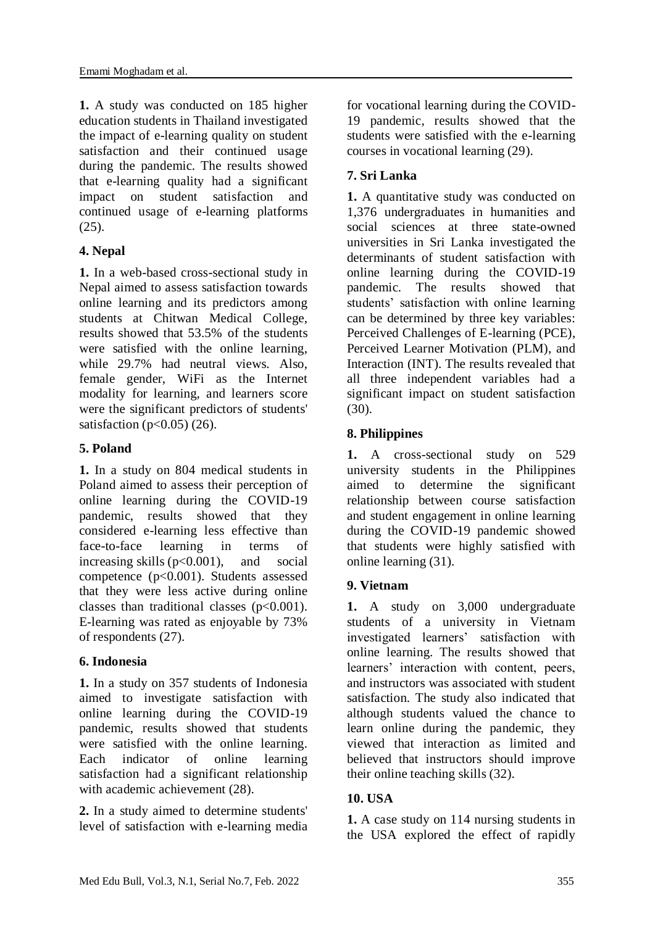**1.** A study was conducted on 185 higher education students in Thailand investigated the impact of e-learning quality on student satisfaction and their continued usage during the pandemic. The results showed that e-learning quality had a significant impact on student satisfaction and continued usage of e-learning platforms (25).

## **4. Nepal**

**1.** In a web-based cross-sectional study in Nepal aimed to assess satisfaction towards online learning and its predictors among students at Chitwan Medical College, results showed that 53.5% of the students were satisfied with the online learning, while 29.7% had neutral views. Also, female gender, WiFi as the Internet modality for learning, and learners score were the significant predictors of students' satisfaction ( $p<0.05$ ) (26).

## **5. Poland**

**1.** In a study on 804 medical students in Poland aimed to assess their perception of online learning during the COVID-19 pandemic, results showed that they considered e-learning less effective than face-to-face learning in terms of increasing skills  $(p<0.001)$ , and social competence (p<0.001). Students assessed that they were less active during online classes than traditional classes  $(p<0.001)$ . E-learning was rated as enjoyable by 73% of respondents (27).

## **6. Indonesia**

**1.** In a study on 357 students of Indonesia aimed to investigate satisfaction with online learning during the COVID-19 pandemic, results showed that students were satisfied with the online learning. Each indicator of online learning satisfaction had a significant relationship with academic achievement (28).

**2.** In a study aimed to determine students' level of satisfaction with e-learning media for vocational learning during the COVID-19 pandemic, results showed that the students were satisfied with the e-learning courses in vocational learning (29).

# **7. Sri Lanka**

**1.** A quantitative study was conducted on 1,376 undergraduates in humanities and social sciences at three state-owned universities in Sri Lanka investigated the determinants of student satisfaction with online learning during the COVID-19 pandemic. The results showed that students' satisfaction with online learning can be determined by three key variables: Perceived Challenges of E-learning (PCE), Perceived Learner Motivation (PLM), and Interaction (INT). The results revealed that all three independent variables had a significant impact on student satisfaction (30).

## **8. Philippines**

**1.** A cross-sectional study on 529 university students in the Philippines aimed to determine the significant relationship between course satisfaction and student engagement in online learning during the COVID-19 pandemic showed that students were highly satisfied with online learning (31).

## **9. Vietnam**

**1.** A study on 3,000 undergraduate students of a university in Vietnam investigated learners' satisfaction with online learning. The results showed that learners' interaction with content, peers, and instructors was associated with student satisfaction. The study also indicated that although students valued the chance to learn online during the pandemic, they viewed that interaction as limited and believed that instructors should improve their online teaching skills (32).

## **10. USA**

**1.** A case study on 114 nursing students in the USA explored the effect of rapidly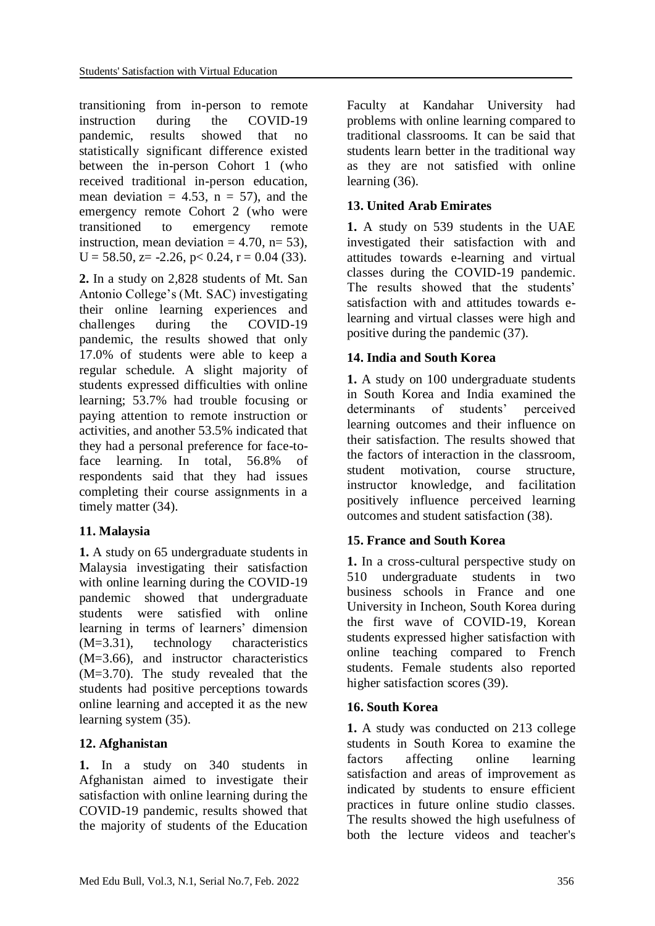transitioning from in-person to remote instruction during the COVID-19 pandemic, results showed that no statistically significant difference existed between the in-person Cohort 1 (who received traditional in-person education, mean deviation  $= 4.53$ ,  $n = 57$ ), and the emergency remote Cohort 2 (who were transitioned to emergency remote instruction, mean deviation  $= 4.70$ , n= 53),  $U = 58.50$ ,  $z = -2.26$ ,  $p < 0.24$ ,  $r = 0.04$  (33).

**2.** In a study on 2,828 students of Mt. San Antonio College's (Mt. SAC) investigating their online learning experiences and challenges during the COVID-19 pandemic, the results showed that only 17.0% of students were able to keep a regular schedule. A slight majority of students expressed difficulties with online learning; 53.7% had trouble focusing or paying attention to remote instruction or activities, and another 53.5% indicated that they had a personal preference for face-toface learning. In total, 56.8% of respondents said that they had issues completing their course assignments in a timely matter  $(34)$ .

## **11. Malaysia**

**1.** A study on 65 undergraduate students in Malaysia investigating their satisfaction with online learning during the COVID-19 pandemic showed that undergraduate students were satisfied with online learning in terms of learners' dimension (M=3.31), technology characteristics (M=3.66), and instructor characteristics (M=3.70). The study revealed that the students had positive perceptions towards online learning and accepted it as the new learning system (35).

## **12. Afghanistan**

**1.** In a study on 340 students in Afghanistan aimed to investigate their satisfaction with online learning during the COVID-19 pandemic, results showed that the majority of students of the Education Faculty at Kandahar University had problems with online learning compared to traditional classrooms. It can be said that students learn better in the traditional way as they are not satisfied with online learning (36).

## **13. United Arab Emirates**

**1.** A study on 539 students in the UAE investigated their satisfaction with and attitudes towards e-learning and virtual classes during the COVID-19 pandemic. The results showed that the students' satisfaction with and attitudes towards elearning and virtual classes were high and positive during the pandemic (37).

## **14. India and South Korea**

**1.** A study on 100 undergraduate students in South Korea and India examined the determinants of students' perceived learning outcomes and their influence on their satisfaction. The results showed that the factors of interaction in the classroom, student motivation, course structure, instructor knowledge, and facilitation positively influence perceived learning outcomes and student satisfaction (38).

## **15. France and South Korea**

**1.** In a cross-cultural perspective study on 510 undergraduate students in two business schools in France and one University in Incheon, South Korea during the first wave of COVID-19, Korean students expressed higher satisfaction with online teaching compared to French students. Female students also reported higher satisfaction scores (39).

#### **16. South Korea**

**1.** A study was conducted on 213 college students in South Korea to examine the factors affecting online learning satisfaction and areas of improvement as indicated by students to ensure efficient practices in future online studio classes. The results showed the high usefulness of both the lecture videos and teacher's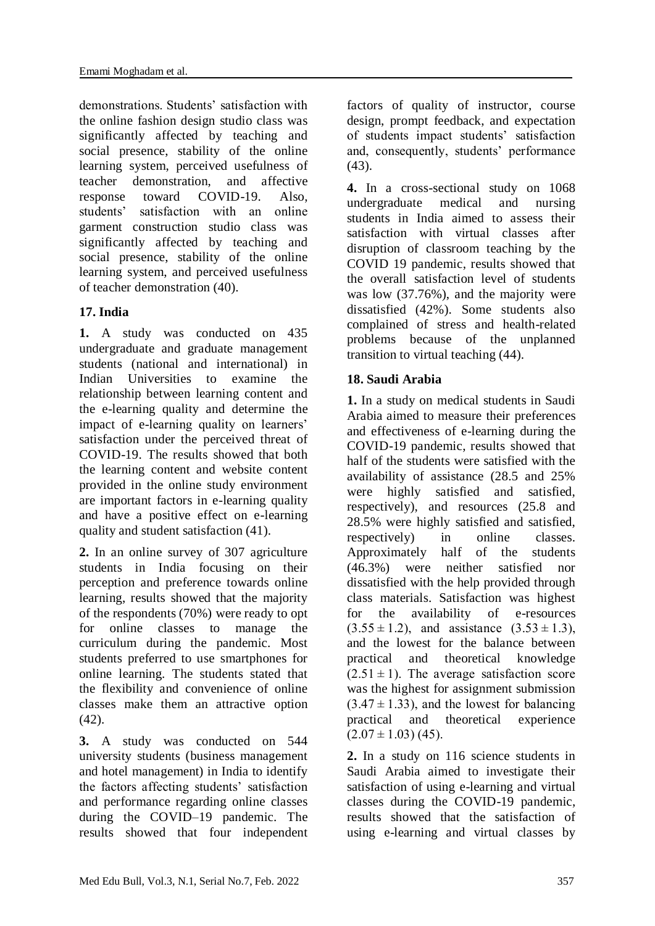demonstrations. Students' satisfaction with the online fashion design studio class was significantly affected by teaching and social presence, stability of the online learning system, perceived usefulness of teacher demonstration, and affective response toward COVID-19. Also, students' satisfaction with an online garment construction studio class was significantly affected by teaching and social presence, stability of the online learning system, and perceived usefulness of teacher demonstration (40).

# **17. India**

**1.** A study was conducted on 435 undergraduate and graduate management students (national and international) in Indian Universities to examine the relationship between learning content and the e-learning quality and determine the impact of e-learning quality on learners' satisfaction under the perceived threat of COVID-19. The results showed that both the learning content and website content provided in the online study environment are important factors in e-learning quality and have a positive effect on e-learning quality and student satisfaction (41).

**2.** In an online survey of 307 agriculture students in India focusing on their perception and preference towards online learning, results showed that the majority of the respondents (70%) were ready to opt for online classes to manage the curriculum during the pandemic. Most students preferred to use smartphones for online learning. The students stated that the flexibility and convenience of online classes make them an attractive option (42).

**3.** A study was conducted on 544 university students (business management and hotel management) in India to identify the factors affecting students' satisfaction and performance regarding online classes during the COVID–19 pandemic. The results showed that four independent factors of quality of instructor, course design, prompt feedback, and expectation of students impact students' satisfaction and, consequently, students' performance (43).

**4.** In a cross-sectional study on 1068 undergraduate medical and nursing students in India aimed to assess their satisfaction with virtual classes after disruption of classroom teaching by the COVID 19 pandemic, results showed that the overall satisfaction level of students was low (37.76%), and the majority were dissatisfied (42%). Some students also complained of stress and health-related problems because of the unplanned transition to virtual teaching (44).

# **18. Saudi Arabia**

**1.** In a study on medical students in Saudi Arabia aimed to measure their preferences and effectiveness of e-learning during the COVID-19 pandemic, results showed that half of the students were satisfied with the availability of assistance (28.5 and 25% were highly satisfied and satisfied, respectively), and resources (25.8 and 28.5% were highly satisfied and satisfied, respectively) in online classes. Approximately half of the students (46.3%) were neither satisfied nor dissatisfied with the help provided through class materials. Satisfaction was highest for the availability of e-resources  $(3.55 \pm 1.2)$ , and assistance  $(3.53 \pm 1.3)$ , and the lowest for the balance between practical and theoretical knowledge  $(2.51 \pm 1)$ . The average satisfaction score was the highest for assignment submission  $(3.47 \pm 1.33)$ , and the lowest for balancing practical and theoretical experience  $(2.07 \pm 1.03)$  (45).

**2.** In a study on 116 science students in Saudi Arabia aimed to investigate their satisfaction of using e-learning and virtual classes during the COVID-19 pandemic, results showed that the satisfaction of using e-learning and virtual classes by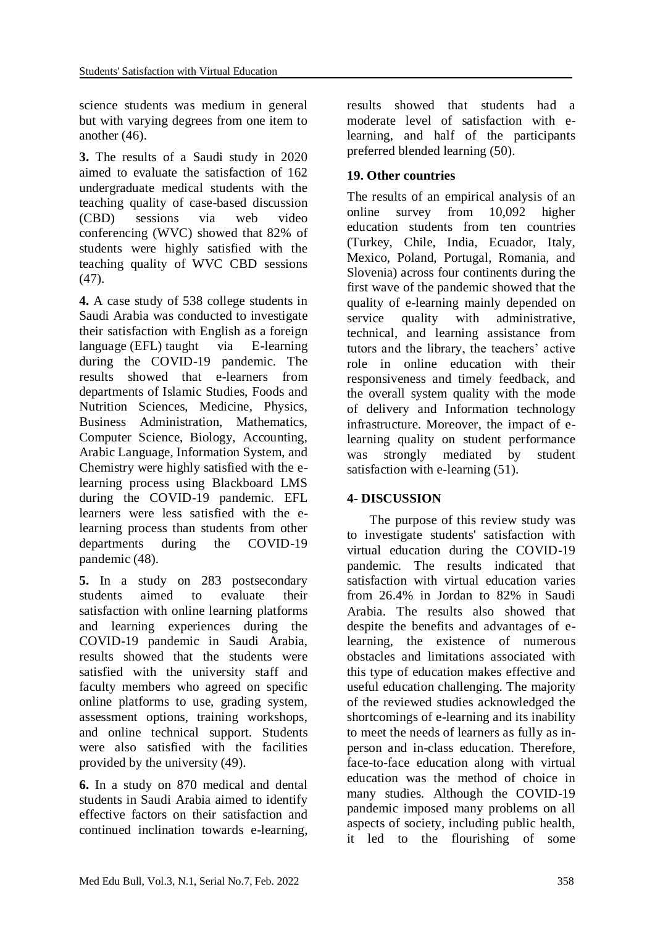science students was medium in general but with varying degrees from one item to another (46).

**3.** The results of a Saudi study in 2020 aimed to evaluate the satisfaction of 162 undergraduate medical students with the teaching quality of case-based discussion (CBD) sessions via web video conferencing (WVC) showed that 82% of students were highly satisfied with the teaching quality of WVC CBD sessions (47).

**4.** A case study of 538 college students in Saudi Arabia was conducted to investigate their satisfaction with English as a foreign language (EFL) taught via E-learning during the COVID-19 pandemic. The results showed that e-learners from departments of Islamic Studies, Foods and Nutrition Sciences, Medicine, Physics, Business Administration, Mathematics, Computer Science, Biology, Accounting, Arabic Language, Information System, and Chemistry were highly satisfied with the elearning process using Blackboard LMS during the COVID-19 pandemic. EFL learners were less satisfied with the elearning process than students from other departments during the COVID-19 pandemic (48).

**5.** In a study on 283 postsecondary students aimed to evaluate their satisfaction with online learning platforms and learning experiences during the COVID-19 pandemic in Saudi Arabia, results showed that the students were satisfied with the university staff and faculty members who agreed on specific online platforms to use, grading system, assessment options, training workshops, and online technical support. Students were also satisfied with the facilities provided by the university (49).

**6.** In a study on 870 medical and dental students in Saudi Arabia aimed to identify effective factors on their satisfaction and continued inclination towards e-learning,

results showed that students had a moderate level of satisfaction with elearning, and half of the participants preferred blended learning (50).

## **19. Other countries**

The results of an empirical analysis of an online survey from 10,092 higher education students from ten countries (Turkey, Chile, India, Ecuador, Italy, Mexico, Poland, Portugal, Romania, and Slovenia) across four continents during the first wave of the pandemic showed that the quality of e-learning mainly depended on service quality with administrative, technical, and learning assistance from tutors and the library, the teachers' active role in online education with their responsiveness and timely feedback, and the overall system quality with the mode of delivery and Information technology infrastructure. Moreover, the impact of elearning quality on student performance was strongly mediated by student satisfaction with e-learning (51).

## **4- DISCUSSION**

 The purpose of this review study was to investigate students' satisfaction with virtual education during the COVID-19 pandemic. The results indicated that satisfaction with virtual education varies from 26.4% in Jordan to 82% in Saudi Arabia. The results also showed that despite the benefits and advantages of elearning, the existence of numerous obstacles and limitations associated with this type of education makes effective and useful education challenging. The majority of the reviewed studies acknowledged the shortcomings of e-learning and its inability to meet the needs of learners as fully as inperson and in-class education. Therefore, face-to-face education along with virtual education was the method of choice in many studies. Although the COVID-19 pandemic imposed many problems on all aspects of society, including public health, it led to the flourishing of some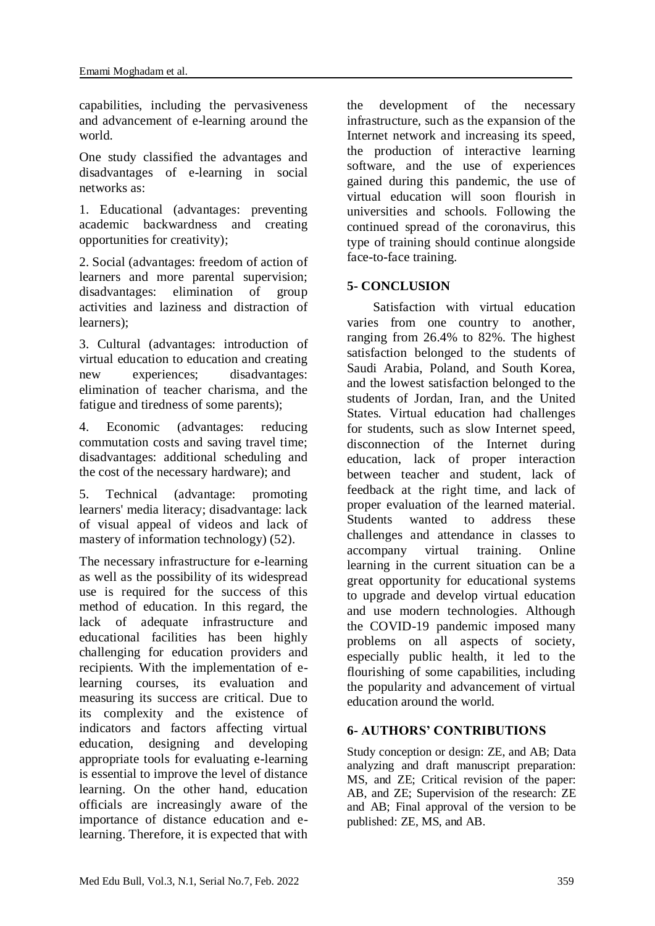capabilities, including the pervasiveness and advancement of e-learning around the world.

One study classified the advantages and disadvantages of e-learning in social networks as:

1. Educational (advantages: preventing academic backwardness and creating opportunities for creativity);

2. Social (advantages: freedom of action of learners and more parental supervision; disadvantages: elimination of group activities and laziness and distraction of learners);

3. Cultural (advantages: introduction of virtual education to education and creating new experiences; disadvantages: elimination of teacher charisma, and the fatigue and tiredness of some parents);

4. Economic (advantages: reducing commutation costs and saving travel time; disadvantages: additional scheduling and the cost of the necessary hardware); and

5. Technical (advantage: promoting learners' media literacy; disadvantage: lack of visual appeal of videos and lack of mastery of information technology) (52).

The necessary infrastructure for e-learning as well as the possibility of its widespread use is required for the success of this method of education. In this regard, the lack of adequate infrastructure and educational facilities has been highly challenging for education providers and recipients. With the implementation of elearning courses, its evaluation and measuring its success are critical. Due to its complexity and the existence of indicators and factors affecting virtual education, designing and developing appropriate tools for evaluating e-learning is essential to improve the level of distance learning. On the other hand, education officials are increasingly aware of the importance of distance education and elearning. Therefore, it is expected that with the development of the necessary infrastructure, such as the expansion of the Internet network and increasing its speed, the production of interactive learning software, and the use of experiences gained during this pandemic, the use of virtual education will soon flourish in universities and schools. Following the continued spread of the coronavirus, this type of training should continue alongside face-to-face training.

# **5- CONCLUSION**

 Satisfaction with virtual education varies from one country to another, ranging from 26.4% to 82%. The highest satisfaction belonged to the students of Saudi Arabia, Poland, and South Korea, and the lowest satisfaction belonged to the students of Jordan, Iran, and the United States. Virtual education had challenges for students, such as slow Internet speed, disconnection of the Internet during education, lack of proper interaction between teacher and student, lack of feedback at the right time, and lack of proper evaluation of the learned material. Students wanted to address these challenges and attendance in classes to accompany virtual training. Online learning in the current situation can be a great opportunity for educational systems to upgrade and develop virtual education and use modern technologies. Although the COVID-19 pandemic imposed many problems on all aspects of society, especially public health, it led to the flourishing of some capabilities, including the popularity and advancement of virtual education around the world.

## **6- AUTHORS' CONTRIBUTIONS**

Study conception or design: ZE, and AB; Data analyzing and draft manuscript preparation: MS, and ZE; Critical revision of the paper: AB, and ZE; Supervision of the research: ZE and AB; Final approval of the version to be published: ZE, MS, and AB.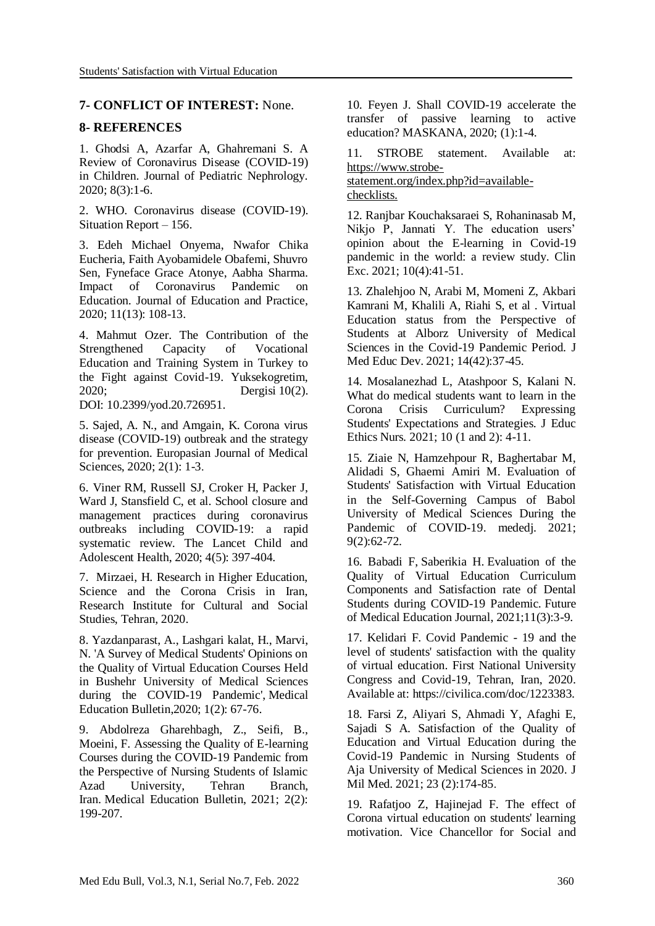#### **7- CONFLICT OF INTEREST:** None.

#### **8- REFERENCES**

1. Ghodsi A, Azarfar A, Ghahremani S. A Review of Coronavirus Disease (COVID-19) in Children. Journal of Pediatric Nephrology. 2020; 8(3):1-6.

2. WHO. Coronavirus disease (COVID-19). Situation Report – 156.

3. Edeh Michael Onyema, Nwafor Chika Eucheria, Faith Ayobamidele Obafemi, Shuvro Sen, Fyneface Grace Atonye, Aabha Sharma. Impact of Coronavirus Pandemic on Education. Journal of Education and Practice, 2020; 11(13): 108-13.

4. [Mahmut Ozer.](https://www.researchgate.net/profile/Mahmut-Ozer?_sg%5B0%5D=amSkj-aE_wrqh85leD_l_FuwB5_-2aAXHk2lQdftGbAnK1NmN0wo0wEXf0KTmwOPxDFqi0I.uC7NBbNux2LYc-H4u1DKD7LjvZVWXeBnEGzzEbkDKJfVJU_abxTcfbjUJMlkOeYBvIk5Qdcv0fOv0c_nhtpLLw.qkWyoLT1ae7jGQxokF5XIo8NQ61GqxRpMoYRaxHSBFM43YmbS2A3gWAJABFFw9MQsVWP70JLERBqYWqP4oW03Q&_sg%5B1%5D=_Ljm4ewf26DgwzS4ykiMIFYjDPl1icMzLY03W3UQvQa34T58qpEoEPG0lIT776hyagzHz58.sCNZBL1jTOpG43szjlBIbLfc3tSQ5q0zuVt646R1KuROL4Vc-fGobVQQr8PR4i2bJ1MeWkHnNqErZR_zg7Y9VA) The Contribution of the Strengthened Capacity of Vocational Education and Training System in Turkey to the Fight against Covid-19. Yuksekogretim, 2020; Dergisi 10(2). DOI: [10.2399/yod.20.726951.](http://dx.doi.org/10.2399/yod.20.726951)

5. Sajed, A. N., and Amgain, K. Corona virus disease (COVID-19) outbreak and the strategy for prevention. Europasian Journal of Medical Sciences, 2020; 2(1): 1-3.

6. Viner RM, Russell SJ, Croker H, Packer J, Ward J, Stansfield C, et al. School closure and management practices during coronavirus outbreaks including COVID-19: a rapid systematic review. The Lancet Child and Adolescent Health, 2020; 4(5): 397-404.

7. Mirzaei, H. Research in Higher Education, Science and the Corona Crisis in Iran, Research Institute for Cultural and Social Studies, Tehran, 2020.

8. Yazdanparast, A., Lashgari kalat, H., Marvi, N. 'A Survey of Medical Students' Opinions on the Quality of Virtual Education Courses Held in Bushehr University of Medical Sciences during the COVID-19 Pandemic', Medical Education Bulletin,2020; 1(2): 67-76.

9. Abdolreza Gharehbagh, Z., Seifi, B., Moeini, F. Assessing the Quality of E-learning Courses during the COVID-19 Pandemic from the Perspective of Nursing Students of Islamic Azad University, Tehran Branch, Iran. Medical Education Bulletin, 2021; 2(2): 199-207.

10. Feyen J. Shall COVID-19 accelerate the transfer of passive learning to active education? MASKANA, 2020; (1):1-4.

11. STROBE statement. Available at: [https://www.strobe](https://www.strobe-statement.org/index.php?id=available-checklists)[statement.org/index.php?id=available](https://www.strobe-statement.org/index.php?id=available-checklists)[checklists.](https://www.strobe-statement.org/index.php?id=available-checklists)

12. Ranjbar Kouchaksaraei S, Rohaninasab M, Nikjo P, Jannati Y. The education users' opinion about the E-learning in Covid-19 pandemic in the world: a review study. Clin Exc. 2021; 10(4):41-51.

13. Zhalehjoo N, Arabi M, Momeni Z, Akbari Kamrani M, Khalili A, Riahi S, et al . Virtual Education status from the Perspective of Students at Alborz University of Medical Sciences in the Covid-19 Pandemic Period. J Med Educ Dev. 2021; 14(42):37-45.

14. Mosalanezhad L, Atashpoor S, Kalani N. What do medical students want to learn in the Corona Crisis Curriculum? Expressing Students' Expectations and Strategies. J Educ Ethics Nurs. 2021; 10 (1 and 2): 4-11.

15. Ziaie N, Hamzehpour R, Baghertabar M, Alidadi S, Ghaemi Amiri M. Evaluation of Students' Satisfaction with Virtual Education in the Self-Governing Campus of Babol University of Medical Sciences During the Pandemic of COVID-19. mededj. 2021; 9(2):62-72.

16. Babadi F, Saberikia H. Evaluation of the Quality of Virtual Education Curriculum Components and Satisfaction rate of Dental Students during COVID-19 Pandemic. Future of Medical Education Journal, 2021;11(3):3-9.

17. Kelidari F. Covid Pandemic - 19 and the level of students' satisfaction with the quality of virtual education. First National University Congress and Covid-19, Tehran, Iran, 2020. Available at: https://civilica.com/doc/1223383.

18. Farsi Z, Aliyari S, Ahmadi Y, Afaghi E, Sajadi S A. Satisfaction of the Quality of Education and Virtual Education during the Covid-19 Pandemic in Nursing Students of Aja University of Medical Sciences in 2020. J Mil Med. 2021; 23 (2):174-85.

19. Rafatjoo Z, Hajinejad F. The effect of Corona virtual education on students' learning motivation. Vice Chancellor for Social and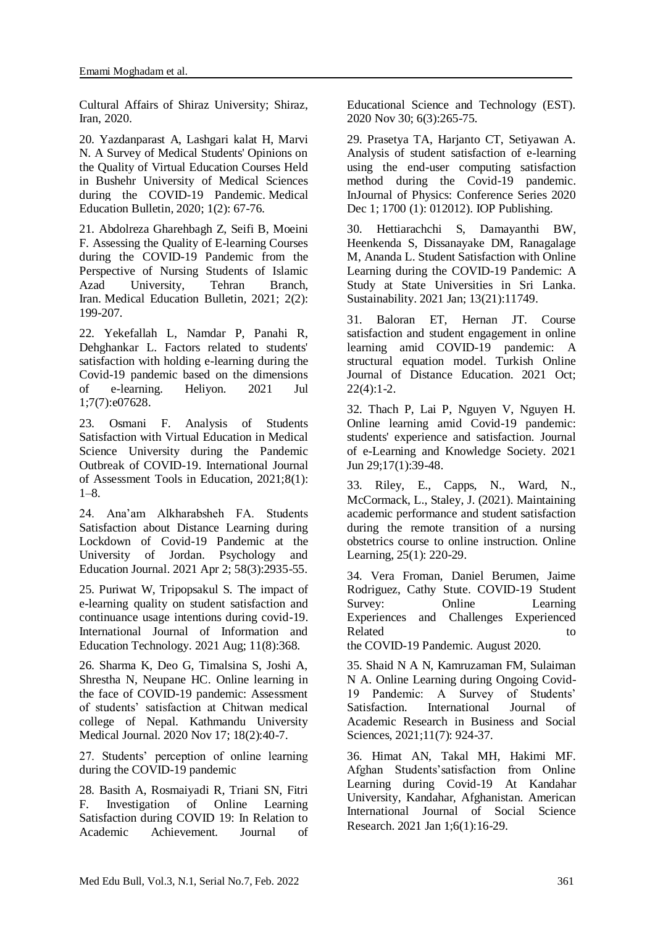Cultural Affairs of Shiraz University; Shiraz, Iran, 2020.

20. Yazdanparast A, Lashgari kalat H, Marvi N. A Survey of Medical Students' Opinions on the Quality of Virtual Education Courses Held in Bushehr University of Medical Sciences during the COVID-19 Pandemic. Medical Education Bulletin*,* 2020; 1(2): 67-76.

21. Abdolreza Gharehbagh Z, Seifi B, Moeini F. Assessing the Quality of E-learning Courses during the COVID-19 Pandemic from the Perspective of Nursing Students of Islamic Azad University, Tehran Branch, Iran. Medical Education Bulletin*,* 2021; 2(2): 199-207.

22. Yekefallah L, Namdar P, Panahi R, Dehghankar L. Factors related to students' satisfaction with holding e-learning during the Covid-19 pandemic based on the dimensions of e-learning. Heliyon. 2021 Jul 1;7(7):e07628.

23. Osmani F. Analysis of Students Satisfaction with Virtual Education in Medical Science University during the Pandemic Outbreak of COVID-19. International Journal of Assessment Tools in Education, 2021;8(1): 1–8.

24. Ana'am Alkharabsheh FA. Students Satisfaction about Distance Learning during Lockdown of Covid-19 Pandemic at the University of Jordan. Psychology and Education Journal. 2021 Apr 2; 58(3):2935-55.

25. Puriwat W, Tripopsakul S. The impact of e-learning quality on student satisfaction and continuance usage intentions during covid-19. International Journal of Information and Education Technology. 2021 Aug; 11(8):368.

26. Sharma K, Deo G, Timalsina S, Joshi A, Shrestha N, Neupane HC. Online learning in the face of COVID-19 pandemic: Assessment of students' satisfaction at Chitwan medical college of Nepal. Kathmandu University Medical Journal. 2020 Nov 17; 18(2):40-7.

27. Students' perception of online learning during the COVID-19 pandemic

28. Basith A, Rosmaiyadi R, Triani SN, Fitri F. Investigation of Online Learning Satisfaction during COVID 19: In Relation to Academic Achievement. Journal of

Educational Science and Technology (EST). 2020 Nov 30; 6(3):265-75.

29. Prasetya TA, Harjanto CT, Setiyawan A. Analysis of student satisfaction of e-learning using the end-user computing satisfaction method during the Covid-19 pandemic. InJournal of Physics: Conference Series 2020 Dec 1; 1700 (1): 012012). IOP Publishing.

30. Hettiarachchi S, Damayanthi BW, Heenkenda S, Dissanayake DM, Ranagalage M, Ananda L. Student Satisfaction with Online Learning during the COVID-19 Pandemic: A Study at State Universities in Sri Lanka. Sustainability. 2021 Jan; 13(21):11749.

31. Baloran ET, Hernan JT. Course satisfaction and student engagement in online learning amid COVID-19 pandemic: A structural equation model. Turkish Online Journal of Distance Education. 2021 Oct;  $22(4):1-2.$ 

32. Thach P, Lai P, Nguyen V, Nguyen H. Online learning amid Covid-19 pandemic: students' experience and satisfaction. Journal of e-Learning and Knowledge Society. 2021 Jun 29;17(1):39-48.

33. Riley, E., Capps, N., Ward, N., McCormack, L., Staley, J. (2021). Maintaining academic performance and student satisfaction during the remote transition of a nursing obstetrics course to online instruction. Online Learning, 25(1): 220-29.

34. Vera Froman, Daniel Berumen, Jaime Rodriguez, Cathy Stute. COVID-19 Student Survey: Online Learning Experiences and Challenges Experienced Related to the set of the set of the set of the set of the set of the set of the set of the set of the set of the set of the set of the set of the set of the set of the set of the set of the set of the set of the set of th

the COVID-19 Pandemic. August 2020.

35. Shaid N A N, Kamruzaman FM, Sulaiman N A. Online Learning during Ongoing Covid-19 Pandemic: A Survey of Students' Satisfaction. International Journal of Academic Research in Business and Social Sciences, 2021;11(7): 924-37.

36. Himat AN, Takal MH, Hakimi MF. Afghan Students'satisfaction from Online Learning during Covid-19 At Kandahar University, Kandahar, Afghanistan. American International Journal of Social Science Research. 2021 Jan 1;6(1):16-29.